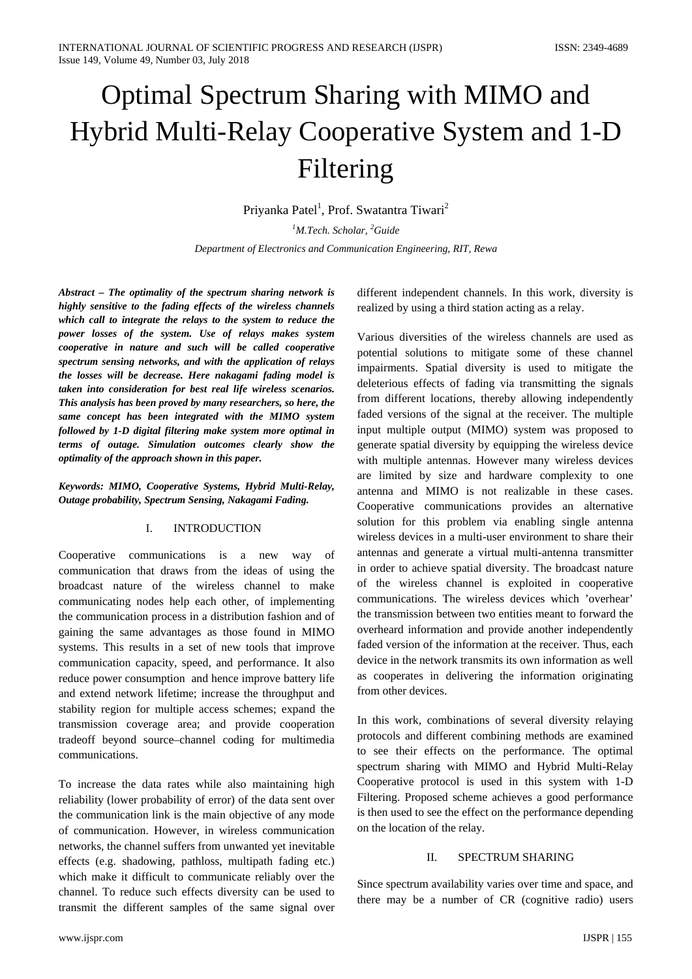# Optimal Spectrum Sharing with MIMO and Hybrid Multi-Relay Cooperative System and 1-D Filtering

Priyanka Patel<sup>1</sup>, Prof. Swatantra Tiwari<sup>2</sup>

*1 M.Tech. Scholar, <sup>2</sup> Guide Department of Electronics and Communication Engineering, RIT, Rewa*

*Abstract – The optimality of the spectrum sharing network is highly sensitive to the fading effects of the wireless channels which call to integrate the relays to the system to reduce the power losses of the system. Use of relays makes system cooperative in nature and such will be called cooperative spectrum sensing networks, and with the application of relays the losses will be decrease. Here nakagami fading model is taken into consideration for best real life wireless scenarios. This analysis has been proved by many researchers, so here, the same concept has been integrated with the MIMO system followed by 1-D digital filtering make system more optimal in terms of outage. Simulation outcomes clearly show the optimality of the approach shown in this paper.*

*Keywords: MIMO, Cooperative Systems, Hybrid Multi-Relay, Outage probability, Spectrum Sensing, Nakagami Fading.*

#### I. INTRODUCTION

Cooperative communications is a new way of communication that draws from the ideas of using the broadcast nature of the wireless channel to make communicating nodes help each other, of implementing the communication process in a distribution fashion and of gaining the same advantages as those found in MIMO systems. This results in a set of new tools that improve communication capacity, speed, and performance. It also reduce power consumption and hence improve battery life and extend network lifetime; increase the throughput and stability region for multiple access schemes; expand the transmission coverage area; and provide cooperation tradeoff beyond source–channel coding for multimedia communications.

To increase the data rates while also maintaining high reliability (lower probability of error) of the data sent over the communication link is the main objective of any mode of communication. However, in wireless communication networks, the channel suffers from unwanted yet inevitable effects (e.g. shadowing, pathloss, multipath fading etc.) which make it difficult to communicate reliably over the channel. To reduce such effects diversity can be used to transmit the different samples of the same signal over

different independent channels. In this work, diversity is realized by using a third station acting as a relay.

Various diversities of the wireless channels are used as potential solutions to mitigate some of these channel impairments. Spatial diversity is used to mitigate the deleterious effects of fading via transmitting the signals from different locations, thereby allowing independently faded versions of the signal at the receiver. The multiple input multiple output (MIMO) system was proposed to generate spatial diversity by equipping the wireless device with multiple antennas. However many wireless devices are limited by size and hardware complexity to one antenna and MIMO is not realizable in these cases. Cooperative communications provides an alternative solution for this problem via enabling single antenna wireless devices in a multi-user environment to share their antennas and generate a virtual multi-antenna transmitter in order to achieve spatial diversity. The broadcast nature of the wireless channel is exploited in cooperative communications. The wireless devices which 'overhear' the transmission between two entities meant to forward the overheard information and provide another independently faded version of the information at the receiver. Thus, each device in the network transmits its own information as well as cooperates in delivering the information originating from other devices.

In this work, combinations of several diversity relaying protocols and different combining methods are examined to see their effects on the performance. The optimal spectrum sharing with MIMO and Hybrid Multi-Relay Cooperative protocol is used in this system with 1-D Filtering. Proposed scheme achieves a good performance is then used to see the effect on the performance depending on the location of the relay.

## II. SPECTRUM SHARING

Since spectrum availability varies over time and space, and there may be a number of CR (cognitive radio) users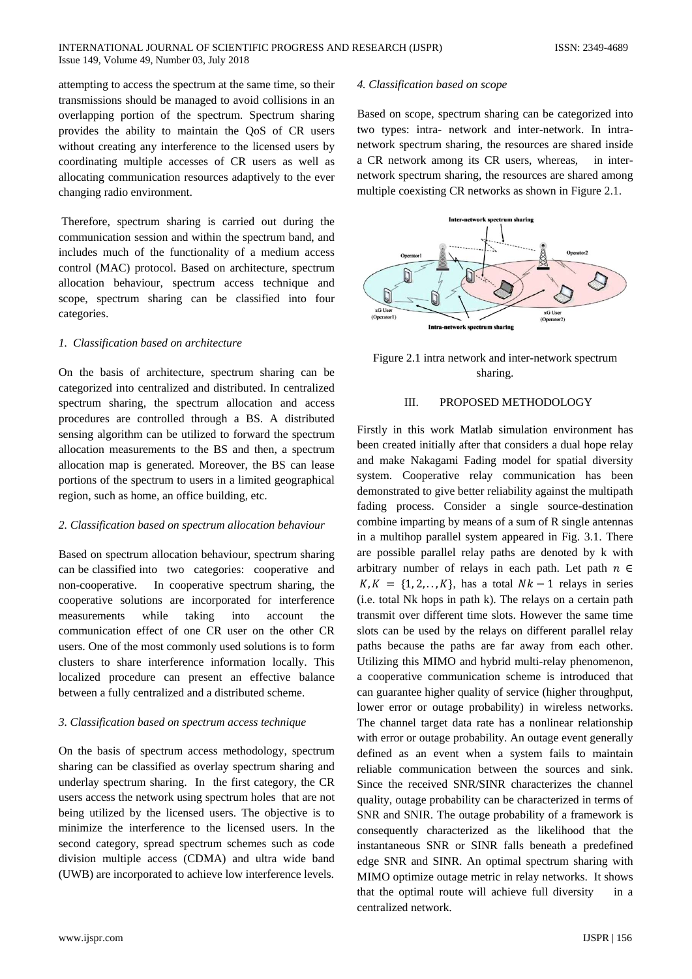#### INTERNATIONAL JOURNAL OF SCIENTIFIC PROGRESS AND RESEARCH (IJSPR) ISSN: 2349-4689 Issue 149, Volume 49, Number 03, July 2018

attempting to access the spectrum at the same time, so their transmissions should be managed to avoid collisions in an overlapping portion of the spectrum. Spectrum sharing provides the ability to maintain the QoS of CR users without creating any interference to the licensed users by coordinating multiple accesses of CR users as well as allocating communication resources adaptively to the ever changing radio environment.

Therefore, spectrum sharing is carried out during the communication session and within the spectrum band, and includes much of the functionality of a medium access control (MAC) protocol. Based on architecture, spectrum allocation behaviour, spectrum access technique and scope, spectrum sharing can be classified into four categories.

#### *1. Classification based on architecture*

On the basis of architecture, spectrum sharing can be categorized into centralized and distributed. In centralized spectrum sharing, the spectrum allocation and access procedures are controlled through a BS. A distributed sensing algorithm can be utilized to forward the spectrum allocation measurements to the BS and then, a spectrum allocation map is generated. Moreover, the BS can lease portions of the spectrum to users in a limited geographical region, such as home, an office building, etc.

#### *2. Classification based on spectrum allocation behaviour*

Based on spectrum allocation behaviour, spectrum sharing can be classified into two categories: cooperative and non-cooperative. In cooperative spectrum sharing, the cooperative solutions are incorporated for interference measurements while taking into account the communication effect of one CR user on the other CR users. One of the most commonly used solutions is to form clusters to share interference information locally. This localized procedure can present an effective balance between a fully centralized and a distributed scheme.

#### *3. Classification based on spectrum access technique*

On the basis of spectrum access methodology, spectrum sharing can be classified as overlay spectrum sharing and underlay spectrum sharing. In the first category, the CR users access the network using spectrum holes that are not being utilized by the licensed users. The objective is to minimize the interference to the licensed users. In the second category, spread spectrum schemes such as code division multiple access (CDMA) and ultra wide band (UWB) are incorporated to achieve low interference levels.

## *4. Classification based on scope*

Based on scope, spectrum sharing can be categorized into two types: intra- network and inter-network. In intranetwork spectrum sharing, the resources are shared inside a CR network among its CR users, whereas, in internetwork spectrum sharing, the resources are shared among multiple coexisting CR networks as shown in Figure 2.1.



Figure 2.1 intra network and inter-network spectrum sharing.

#### III. PROPOSED METHODOLOGY

Firstly in this work Matlab simulation environment has been created initially after that considers a dual hope relay and make Nakagami Fading model for spatial diversity system. Cooperative relay communication has been demonstrated to give better reliability against the multipath fading process. Consider a single source-destination combine imparting by means of a sum of R single antennas in a multihop parallel system appeared in Fig. 3.1. There are possible parallel relay paths are denoted by k with arbitrary number of relays in each path. Let path  $n \in$  $K, K = \{1, 2, \ldots, K\}$ , has a total  $Nk - 1$  relays in series (i.e. total Nk hops in path k). The relays on a certain path transmit over different time slots. However the same time slots can be used by the relays on different parallel relay paths because the paths are far away from each other. Utilizing this MIMO and hybrid multi-relay phenomenon, a cooperative communication scheme is introduced that can guarantee higher quality of service (higher throughput, lower error or outage probability) in wireless networks. The channel target data rate has a nonlinear relationship with error or outage probability. An outage event generally defined as an event when a system fails to maintain reliable communication between the sources and sink. Since the received SNR/SINR characterizes the channel quality, outage probability can be characterized in terms of SNR and SNIR. The outage probability of a framework is consequently characterized as the likelihood that the instantaneous SNR or SINR falls beneath a predefined edge SNR and SINR. An optimal spectrum sharing with MIMO optimize outage metric in relay networks. It shows that the optimal route will achieve full diversity in a centralized network.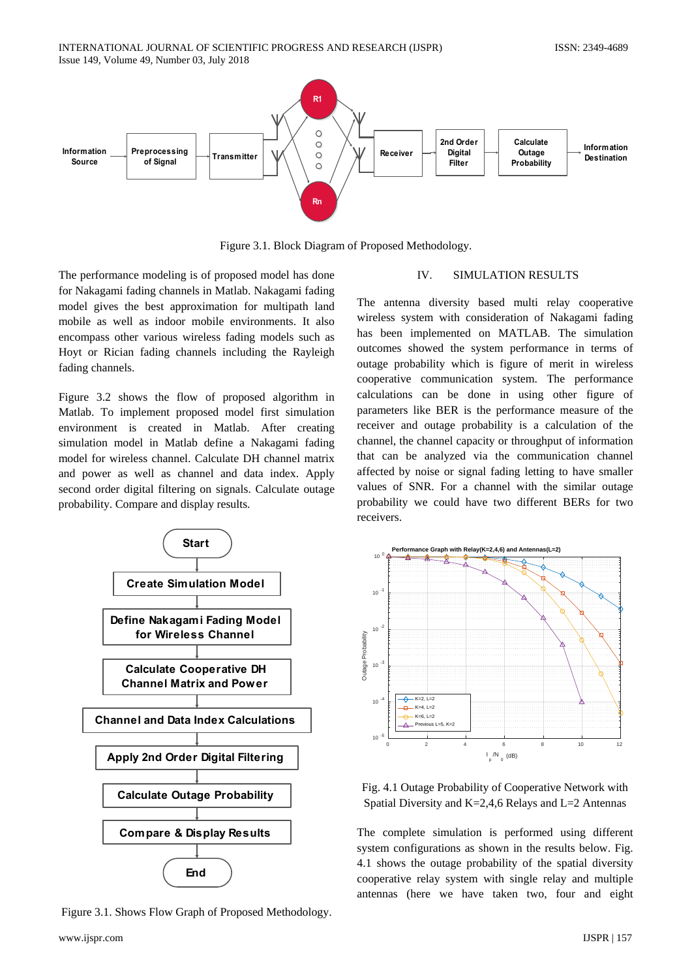

Figure 3.1. Block Diagram of Proposed Methodology.

The performance modeling is of proposed model has done for Nakagami fading channels in Matlab. Nakagami fading model gives the best approximation for multipath land mobile as well as indoor mobile environments. It also encompass other various wireless fading models such as Hoyt or Rician fading channels including the Rayleigh fading channels.

Figure 3.2 shows the flow of proposed algorithm in Matlab. To implement proposed model first simulation environment is created in Matlab. After creating simulation model in Matlab define a Nakagami fading model for wireless channel. Calculate DH channel matrix and power as well as channel and data index. Apply second order digital filtering on signals. Calculate outage probability. Compare and display results.



Figure 3.1. Shows Flow Graph of Proposed Methodology.

# IV. SIMULATION RESULTS

The antenna diversity based multi relay cooperative wireless system with consideration of Nakagami fading has been implemented on MATLAB. The simulation outcomes showed the system performance in terms of outage probability which is figure of merit in wireless cooperative communication system. The performance calculations can be done in using other figure of parameters like BER is the performance measure of the receiver and outage probability is a calculation of the channel, the channel capacity or throughput of information that can be analyzed via the communication channel affected by noise or signal fading letting to have smaller values of SNR. For a channel with the similar outage probability we could have two different BERs for two receivers.



Fig. 4.1 Outage Probability of Cooperative Network with Spatial Diversity and K=2,4,6 Relays and L=2 Antennas

The complete simulation is performed using different system configurations as shown in the results below. Fig. 4.1 shows the outage probability of the spatial diversity cooperative relay system with single relay and multiple antennas (here we have taken two, four and eight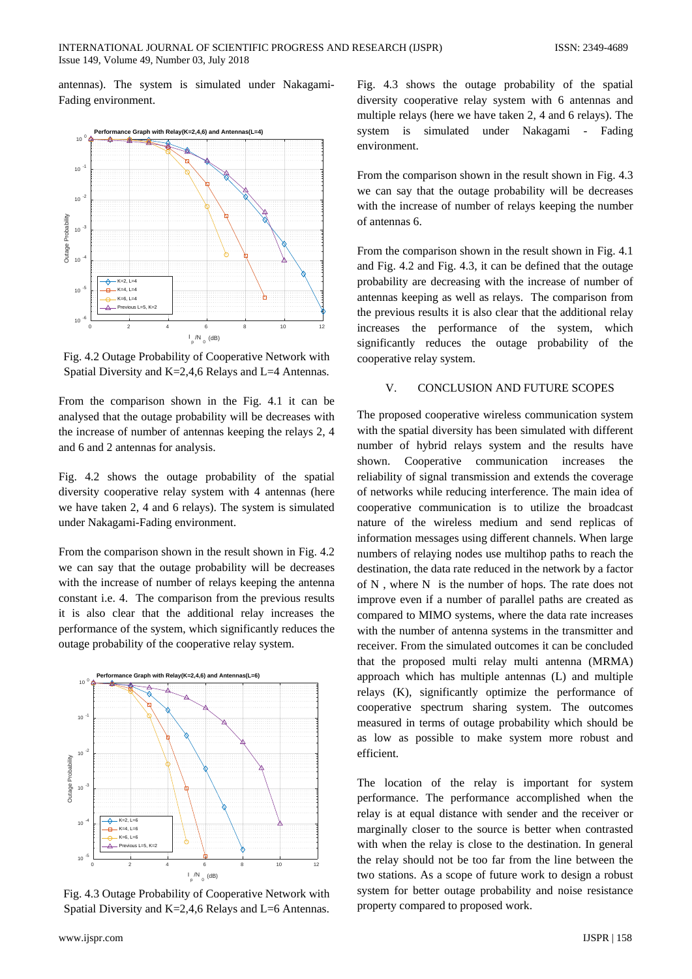antennas). The system is simulated under Nakagami-Fading environment.



Fig. 4.2 Outage Probability of Cooperative Network with Spatial Diversity and K=2,4,6 Relays and L=4 Antennas.

From the comparison shown in the Fig. 4.1 it can be analysed that the outage probability will be decreases with the increase of number of antennas keeping the relays 2, 4 and 6 and 2 antennas for analysis.

Fig. 4.2 shows the outage probability of the spatial diversity cooperative relay system with 4 antennas (here we have taken 2, 4 and 6 relays). The system is simulated under Nakagami-Fading environment.

From the comparison shown in the result shown in Fig. 4.2 we can say that the outage probability will be decreases with the increase of number of relays keeping the antenna constant i.e. 4. The comparison from the previous results it is also clear that the additional relay increases the performance of the system, which significantly reduces the outage probability of the cooperative relay system.



Fig. 4.3 Outage Probability of Cooperative Network with Spatial Diversity and K=2,4,6 Relays and L=6 Antennas.

Fig. 4.3 shows the outage probability of the spatial diversity cooperative relay system with 6 antennas and multiple relays (here we have taken 2, 4 and 6 relays). The system is simulated under Nakagami - Fading environment.

From the comparison shown in the result shown in Fig. 4.3 we can say that the outage probability will be decreases with the increase of number of relays keeping the number of antennas 6.

From the comparison shown in the result shown in Fig. 4.1 and Fig. 4.2 and Fig. 4.3, it can be defined that the outage probability are decreasing with the increase of number of antennas keeping as well as relays. The comparison from the previous results it is also clear that the additional relay increases the performance of the system, which significantly reduces the outage probability of the cooperative relay system.

### V. CONCLUSION AND FUTURE SCOPES

The proposed cooperative wireless communication system with the spatial diversity has been simulated with different number of hybrid relays system and the results have shown. Cooperative communication increases the reliability of signal transmission and extends the coverage of networks while reducing interference. The main idea of cooperative communication is to utilize the broadcast nature of the wireless medium and send replicas of information messages using different channels. When large numbers of relaying nodes use multihop paths to reach the destination, the data rate reduced in the network by a factor of N , where N is the number of hops. The rate does not improve even if a number of parallel paths are created as compared to MIMO systems, where the data rate increases with the number of antenna systems in the transmitter and receiver. From the simulated outcomes it can be concluded that the proposed multi relay multi antenna (MRMA) approach which has multiple antennas (L) and multiple relays (K), significantly optimize the performance of cooperative spectrum sharing system. The outcomes measured in terms of outage probability which should be as low as possible to make system more robust and efficient.

The location of the relay is important for system performance. The performance accomplished when the relay is at equal distance with sender and the receiver or marginally closer to the source is better when contrasted with when the relay is close to the destination. In general the relay should not be too far from the line between the two stations. As a scope of future work to design a robust system for better outage probability and noise resistance property compared to proposed work.